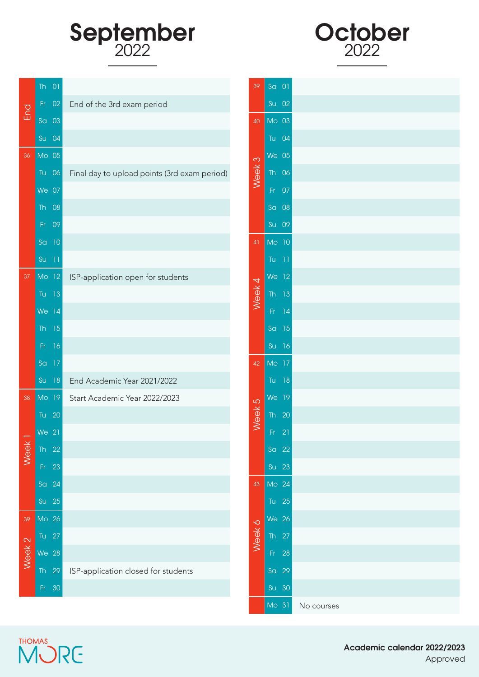## September



|                          | Th $01$   |                                              | 39             | Sa 01              |    |            |
|--------------------------|-----------|----------------------------------------------|----------------|--------------------|----|------------|
| End                      | Fr 02     | End of the 3rd exam period                   |                | Su 02              |    |            |
|                          | Sa 03     |                                              | 40             | Mo 03              |    |            |
|                          | Su 04     |                                              |                | Tu 04              |    |            |
| 36                       | Mo 05     |                                              | $\infty$       | We 05              |    |            |
|                          | Tu 06     | Final day to upload points (3rd exam period) | Week           | Th 06              |    |            |
|                          | We 07     |                                              |                | Fr 07              |    |            |
|                          | Th 08     |                                              |                | Sa 08              |    |            |
|                          | Fr 09     |                                              |                | Su 09              |    |            |
|                          | Sa 10     |                                              | 41             | Mo 10              |    |            |
|                          | $Su$ 11   |                                              |                | Tu $-11$           |    |            |
| 37                       | MO 12     | ISP-application open for students            |                | $We$ 12            |    |            |
|                          | Tu 13     |                                              | Week 4         | $\overline{I}h$ 13 |    |            |
|                          | We 14     |                                              |                | Fr.                | 14 |            |
|                          | Th $15$   |                                              |                | Sa 15              |    |            |
|                          | Fr.<br>16 |                                              |                | Su 16              |    |            |
|                          | Sa 17     |                                              | 42             | MO 17              |    |            |
|                          | Su 18     | End Academic Year 2021/2022                  |                | Tu 18              |    |            |
| 38                       | $M$ o 19  | Start Academic Year 2022/2023                | $\overline{5}$ | $We$ 19            |    |            |
|                          | Tu 20     |                                              | <b>Week</b>    | Th $20$            |    |            |
| $\overline{\phantom{0}}$ | We 21     |                                              |                | $Fr$ 21            |    |            |
| Week                     | Th $22$   |                                              |                | Sa 22              |    |            |
|                          | Fr 23     |                                              |                | Su 23              |    |            |
|                          | Sa 24     |                                              | 43             | Mo 24              |    |            |
|                          | Su 25     |                                              |                | Tu 25              |    |            |
| 39                       | Mo 26     |                                              |                | We 26              |    |            |
|                          | Tu $27$   |                                              | Week 6         | Th $27$            |    |            |
| Week <sub>2</sub>        | We 28     |                                              |                | Fr 28              |    |            |
|                          | Th 29     | ISP-application closed for students          |                | Sa 29              |    |            |
|                          | Fr 30     |                                              |                | Su 30              |    |            |
|                          |           |                                              |                | Mo 31              |    | No courses |

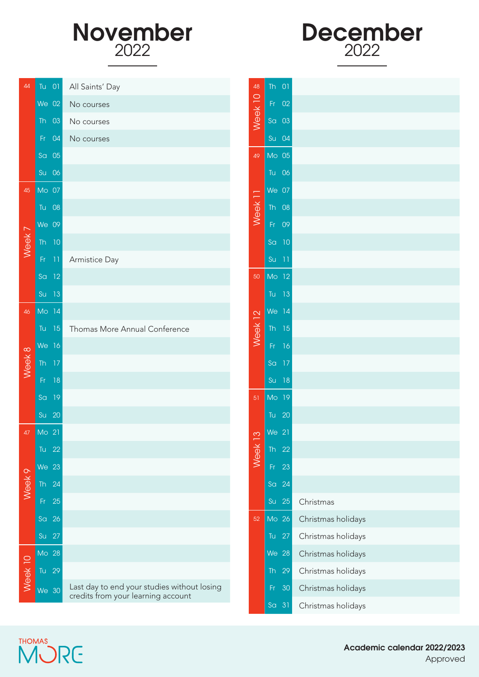



| 44                | Tu 01               | All Saints' Day                                                                   | 48                 | $Th$ 01                    |       |                    |
|-------------------|---------------------|-----------------------------------------------------------------------------------|--------------------|----------------------------|-------|--------------------|
|                   | We 02               | No courses                                                                        |                    |                            | Fr 02 |                    |
|                   | $Th$ 03             | No courses                                                                        | Week <sub>10</sub> | $\overline{a}$ 03          |       |                    |
|                   | Fr 04               | No courses                                                                        |                    | Su 04                      |       |                    |
|                   | $\overline{S}$ a 05 |                                                                                   | 49                 | Mo <sub>05</sub>           |       |                    |
|                   | Su 06               |                                                                                   |                    | Tu 06                      |       |                    |
| 45                | $MO$ 07             |                                                                                   |                    | $We$ 07                    |       |                    |
|                   | Tu 08               |                                                                                   | Week <sub>11</sub> | Th 08                      |       |                    |
|                   | We 09               |                                                                                   |                    |                            | Fr 09 |                    |
| Week <sub>7</sub> | Th $10$             |                                                                                   |                    | $S\alpha$ 10               |       |                    |
|                   | $Fr$ 11             | Armistice Day                                                                     |                    | $Su$ 11                    |       |                    |
|                   | $\sqrt{2}a$ 12      |                                                                                   | 50                 | Mo 12                      |       |                    |
|                   | Su 13               |                                                                                   |                    | Tu 13                      |       |                    |
| 46                | Mo 14               |                                                                                   |                    | $We$ 14                    |       |                    |
|                   | Tu $15$             | Thomas More Annual Conference                                                     | Week 12            | Th 15                      |       |                    |
|                   | We 16               |                                                                                   |                    |                            | Fr 16 |                    |
| Week 8            | Th $17$             |                                                                                   |                    | Sa 17                      |       |                    |
|                   | Fr 18               |                                                                                   |                    |                            | Su 18 |                    |
|                   | $\overline{a}$ 19   |                                                                                   | 51                 | Mo 19                      |       |                    |
|                   | Su 20               |                                                                                   |                    | Tu 20                      |       |                    |
|                   | 47 Mo 21            |                                                                                   | $\infty$           | We 21                      |       |                    |
|                   | Tu $22$             |                                                                                   | Week               | Th $22$                    |       |                    |
|                   | <b>We 23</b>        |                                                                                   |                    | $\mathsf{Fr}$              | 23    |                    |
| Week <sub>9</sub> | Th 24               |                                                                                   |                    | S <sub>G</sub>             | 24    |                    |
|                   | $\mathsf{Fr}$<br>25 |                                                                                   |                    | Su                         | 25    | Christmas          |
|                   | Sa 26               |                                                                                   | 52                 | MO 26                      |       | Christmas holidays |
|                   | Su 27               |                                                                                   |                    | $\mathop{\rm Tu}\nolimits$ | 27    | Christmas holidays |
|                   | Mo 28               |                                                                                   |                    | We 28                      |       | Christmas holidays |
| Week 10           | Tu 29               |                                                                                   |                    | Th                         | 29    | Christmas holidays |
|                   | We 30               | Last day to end your studies without losing<br>credits from your learning account |                    | Fr                         | 30    | Christmas holidays |
|                   |                     |                                                                                   |                    | Sa 31                      |       | Christmas holidays |

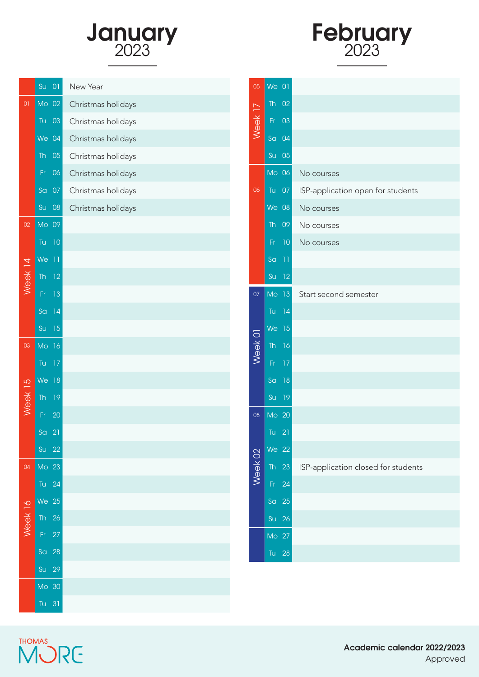



|                | Su<br>$\overline{0}$  | New Year           |
|----------------|-----------------------|--------------------|
| $\overline{0}$ | $Mo$ 02               | Christmas holidays |
|                | Tu<br>03              | Christmas holidays |
|                | $We$ $04$             | Christmas holidays |
|                | <b>Th</b><br>05       | Christmas holidays |
|                | Fr<br>06              | Christmas holidays |
|                | Sa<br>07              | Christmas holidays |
|                | Su<br>${\bf 0}8$      | Christmas holidays |
| 02             | Mo 09                 |                    |
|                | 10<br>Tu              |                    |
|                | We<br>$\overline{11}$ |                    |
| Week 14        | <b>Th</b><br>12       |                    |
|                | Fr<br>13              |                    |
|                | 14<br>Sa              |                    |
|                | Su<br>15              |                    |
| 03             | Mo<br>16              |                    |
|                | Tu<br>17              |                    |
|                | We<br>18              |                    |
| Week 15        | <b>Th</b><br>19       |                    |
|                | 20<br>Fr              |                    |
|                | Sa<br>21              |                    |
|                | 22<br>Su              |                    |
| 04             | Mo 23                 |                    |
|                | Tu<br>24              |                    |
|                | We 25                 |                    |
| Neek 16        | Th<br>26              |                    |
|                | 27<br>Fr              |                    |
|                | 28<br>Sa              |                    |
|                | 29<br>Su              |                    |
|                | Mo 30                 |                    |
|                | Tu $31$               |                    |

| 05                 | We                     | $\overline{0}$ |                                     |
|--------------------|------------------------|----------------|-------------------------------------|
| Week <sub>17</sub> | <b>Th</b>              | 02             |                                     |
|                    | Fr                     | 03             |                                     |
|                    | Sa                     | 04             |                                     |
|                    | Su                     | 05             |                                     |
|                    | $M0$ 06                |                | No courses                          |
| 06                 | Tu                     | 07             | ISP-application open for students   |
|                    | We                     | 08             | No courses                          |
|                    | <b>Th</b>              | 09             | No courses                          |
|                    | Fr                     | 10             | No courses                          |
|                    | Sa                     | 11             |                                     |
|                    | Su                     | 12             |                                     |
| 07                 | Mo                     | 13             | Start second semester               |
|                    | Tu                     | 14             |                                     |
|                    | We                     | 15             |                                     |
| Week 01            | $\overline{\text{Th}}$ | 16             |                                     |
|                    | Fr                     | 17             |                                     |
|                    | Sa                     | 18             |                                     |
|                    | Su                     | 19             |                                     |
| 08                 | Mo 20                  |                |                                     |
|                    | Tu                     | 21             |                                     |
|                    | <b>We 22</b>           |                |                                     |
| Week 02            | <b>Th</b>              | 23             | ISP-application closed for students |
|                    | Fr                     | 24             |                                     |
|                    | Sa                     | 25             |                                     |
|                    | Su                     | 26             |                                     |
|                    | Mo 27                  |                |                                     |
|                    | Tu                     | 28             |                                     |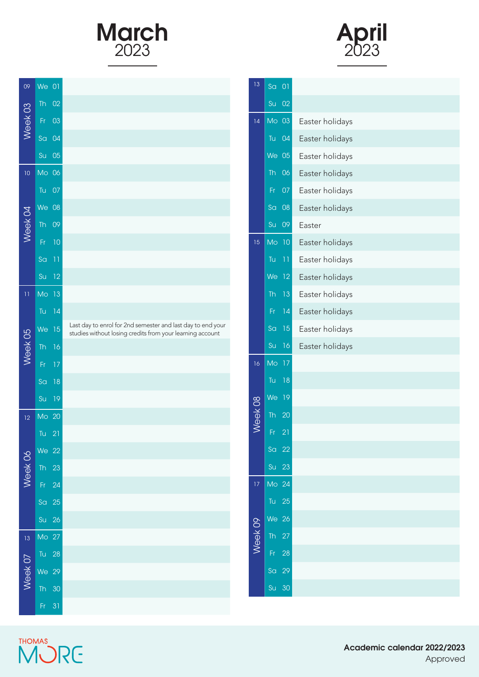



| 09                 | We                     | 01 |                                                                                                                          |
|--------------------|------------------------|----|--------------------------------------------------------------------------------------------------------------------------|
| Week 03            | <b>Th</b>              | 02 |                                                                                                                          |
|                    | Fr                     | 03 |                                                                                                                          |
|                    | S <sub>G</sub>         | 04 |                                                                                                                          |
|                    | Su                     | 05 |                                                                                                                          |
| 10                 | Mo                     | 06 |                                                                                                                          |
|                    | Tu                     | 07 |                                                                                                                          |
|                    | We                     | 08 |                                                                                                                          |
| Week <sub>04</sub> | <b>Th</b>              | 09 |                                                                                                                          |
|                    | Fr                     | 10 |                                                                                                                          |
|                    | Sa                     | 11 |                                                                                                                          |
|                    | Su                     | 12 |                                                                                                                          |
| $\bar{1}$          | Mo                     | 13 |                                                                                                                          |
|                    | Tu                     | 14 |                                                                                                                          |
|                    | We                     | 15 | Last day to enrol for 2nd semester and last day to end your<br>studies without losing credits from your learning account |
| Week 05            | <b>Th</b>              | 16 |                                                                                                                          |
|                    | Fr                     | 17 |                                                                                                                          |
|                    | Sa                     | 18 |                                                                                                                          |
|                    | Su                     | 19 |                                                                                                                          |
| 12                 | Mo                     | 20 |                                                                                                                          |
|                    | Tu                     | 21 |                                                                                                                          |
|                    | We 22                  |    |                                                                                                                          |
| Week 06            | <b>Th</b>              | 23 |                                                                                                                          |
|                    | Fr                     | 24 |                                                                                                                          |
|                    | S <sub>G</sub>         | 25 |                                                                                                                          |
|                    | Su                     | 26 |                                                                                                                          |
| $\overline{13}$    | Mo                     | 27 |                                                                                                                          |
|                    | Tu                     | 28 |                                                                                                                          |
| Week 07            | We                     | 29 |                                                                                                                          |
|                    | $\overline{\text{Th}}$ | 30 |                                                                                                                          |
|                    | Fr                     | 31 |                                                                                                                          |

| 13              | Sa<br>01              |                 |
|-----------------|-----------------------|-----------------|
|                 | Su<br>02              |                 |
| 14              | Mo 03                 | Easter holidays |
|                 | Tu<br>04              | Easter holidays |
|                 | <b>We 05</b>          | Easter holidays |
|                 | <b>Th</b><br>06       | Easter holidays |
|                 | Fr<br>07              | Easter holidays |
|                 | Sa<br>${\bf 0}8$      | Easter holidays |
|                 | <b>Su</b><br>09       | Easter          |
| 15              | Mo 10                 | Easter holidays |
|                 | Tu<br>11              | Easter holidays |
|                 | We<br>$\overline{12}$ | Easter holidays |
|                 | <b>Th</b><br>13       | Easter holidays |
|                 | Fr.<br>14             | Easter holidays |
|                 | 15<br>Sa              | Easter holidays |
|                 | Su<br>16              | Easter holidays |
| 16              | Mo<br>17              |                 |
|                 | Tu<br>18              |                 |
|                 | We<br>19              |                 |
| Week 08         | <b>Th</b><br>20       |                 |
|                 | $\overline{21}$<br>Fr |                 |
|                 | Sa 22                 |                 |
|                 | 23<br>Su              |                 |
| $\overline{17}$ | Mo 24                 |                 |
|                 | Tu $25$               |                 |
|                 | We<br><b>26</b>       |                 |
| Week 09         | 27<br><b>Th</b>       |                 |
|                 | 28<br>Fr              |                 |
|                 | 29<br>Sa              |                 |
|                 | 30<br>Su              |                 |

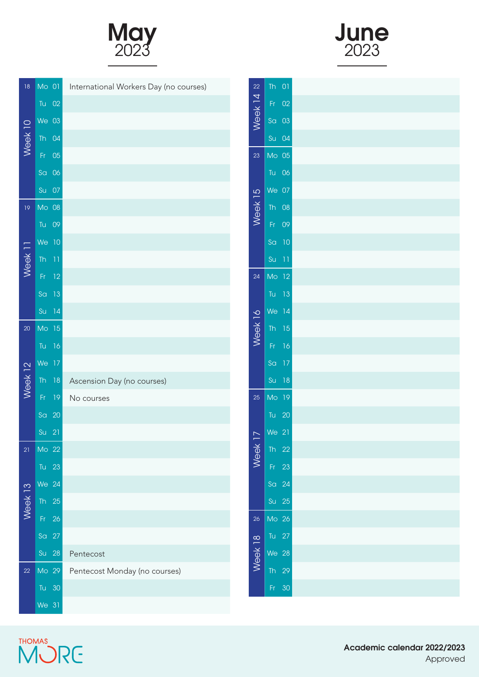





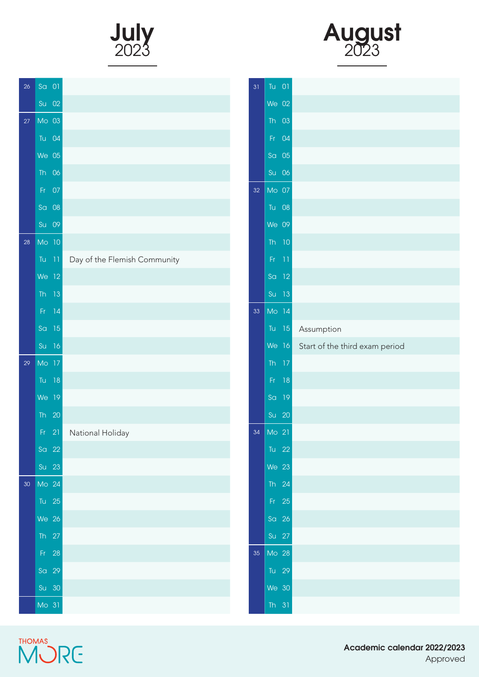



| 26 | Sa 01                                       |                              |
|----|---------------------------------------------|------------------------------|
|    | $Su$ 02                                     |                              |
| 27 | Mo 03                                       |                              |
|    | Tu 04                                       |                              |
|    | $We$ 05                                     |                              |
|    | 06<br>Th                                    |                              |
|    | 07<br>Fr.                                   |                              |
|    | 08<br>S <sub>G</sub>                        |                              |
|    | Su 09                                       |                              |
| 28 | Mo 10                                       |                              |
|    | Tu<br>$\begin{array}{c} \hline \end{array}$ | Day of the Flemish Community |
|    | We 12                                       |                              |
|    | <b>Th</b><br>13                             |                              |
|    | 14<br>Fr.                                   |                              |
|    | Sa<br>15                                    |                              |
|    | Su<br>16                                    |                              |
| 29 | Mo 17                                       |                              |
|    | Tu<br>18                                    |                              |
|    | We<br>19                                    |                              |
|    | Th<br>20                                    |                              |
|    | 21<br>Fr.                                   | National Holiday             |
|    | $\overline{a}$ 22                           |                              |
|    | Su 23                                       |                              |
| 30 | Mo 24                                       |                              |
|    | Tu 25                                       |                              |
|    | We 26                                       |                              |
|    | Th $27$                                     |                              |
|    | Fr 28                                       |                              |
|    | Sa 29                                       |                              |
|    | Su 30                                       |                              |
|    | $Mo$ 31                                     |                              |

| 31              | 01<br>Tu                     |                                      |
|-----------------|------------------------------|--------------------------------------|
|                 | We 02                        |                                      |
|                 | $\overline{03}$<br><b>Th</b> |                                      |
|                 | 04<br>Fr.                    |                                      |
|                 | 05<br>Sa                     |                                      |
|                 | Su 06                        |                                      |
| 32              | Mo 07                        |                                      |
|                 | Tu<br>${\bf 0}8$             |                                      |
|                 | We 09                        |                                      |
|                 | 10<br><b>Th</b>              |                                      |
|                 | $Fr = 11$                    |                                      |
|                 | Sa 12                        |                                      |
|                 | $Su$ 13                      |                                      |
| 33              | Mo 14                        |                                      |
|                 | Tu                           | 15 Assumption                        |
|                 |                              | We 16 Start of the third exam period |
|                 | 17<br><b>Th</b>              |                                      |
|                 | 18<br>Fr                     |                                      |
|                 | 19<br>S <sub>G</sub>         |                                      |
|                 | Su<br>20                     |                                      |
| 34              | Mo 21                        |                                      |
|                 | Tu 22                        |                                      |
|                 | We 23                        |                                      |
|                 | Th $24$                      |                                      |
|                 | $Fr = 25$                    |                                      |
|                 | $\text{Sa}$ 26               |                                      |
|                 | Su 27                        |                                      |
| 35 <sub>o</sub> | $M0$ 28                      |                                      |
|                 | Tu 29                        |                                      |
|                 | We 30                        |                                      |
|                 | Th $31$                      |                                      |